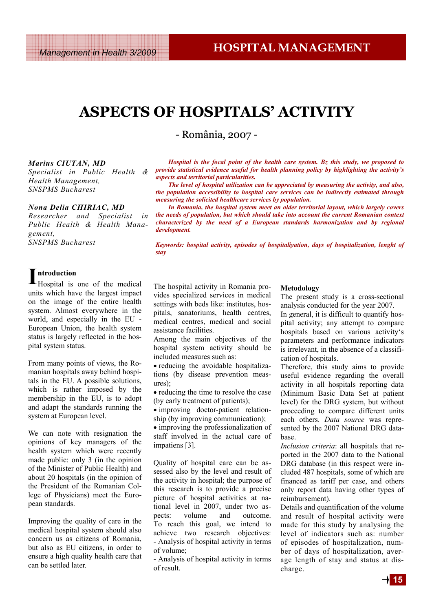# **ASPECTS OF HOSPITALS' ACTIVITY**

- România, 2007 -

#### *Marius CIUTAN, MD*

*Specialist in Public Health & Health Management, SNSPMS Bucharest* 

#### *Nona Delia CHIRIAC, MD*

*Researcher and Specialist in Public Health & Health Management, SNSPMS Bucharest* 

*Hospital is the focal point of the health care system. Bz this study, we proposed to provide statistical evidence useful for health planning policy by highlighting the activity's aspects and territorial particularities.* 

*The level of hospital utilization can be appreciated by measuring the activity, and also, the population accessibility to hospital care services can be indirectly estimated through measuring the solicited healthcare services by population.* 

*In Romania, the hospital system meet an older territorial layout, which largely covers the needs of population, but which should take into account the current Romanian context characterized by the need of a European standards harmonization and by regional development.* 

*Keywords: hospital activity, episodes of hospitaliyation, days of hospitalization, lenght of stay* 

#### **I ntroduction**

Hospital is one of the medical units which have the largest impact on the image of the entire health system. Almost everywhere in the world, and especially in the EU - European Union, the health system status is largely reflected in the hospital system status.

From many points of views, the Romanian hospitals away behind hospitals in the EU. A possible solutions, which is rather imposed by the membership in the EU, is to adopt and adapt the standards running the system at European level.

We can note with resignation the opinions of key managers of the health system which were recently made public: only 3 (in the opinion of the Minister of Public Health) and about 20 hospitals (in the opinion of the President of the Romanian College of Physicians) meet the European standards.

Improving the quality of care in the medical hospital system should also concern us as citizens of Romania, but also as EU citizens, in order to ensure a high quality health care that can be settled later.

The hospital activity in Romania provides specialized services in medical settings with beds like: institutes, hospitals, sanatoriums, health centres, medical centres, medical and social assistance facilities.

Among the main objectives of the hospital system activity should be included measures such as:

• reducing the avoidable hospitalizations (by disease prevention measures);

• reducing the time to resolve the case (by early treatment of patients);

• improving doctor-patient relationship (by improving communication);

• improving the professionalization of staff involved in the actual care of impatiens [3].

Quality of hospital care can be assessed also by the level and result of the activity in hospital; the purpose of this research is to provide a precise picture of hospital activities at national level in 2007, under two aspects: volume and outcome. To reach this goal, we intend to achieve two research objectives: - Analysis of hospital activity in terms of volume;

- Analysis of hospital activity in terms of result.

#### **Metodology**

The present study is a cross-sectional analysis conducted for the year 2007.

In general, it is difficult to quantify hospital activity; any attempt to compare hospitals based on various activity's parameters and performance indicators is irrelevant, in the absence of a classification of hospitals.

Therefore, this study aims to provide useful evidence regarding the overall activity in all hospitals reporting data (Minimum Basic Data Set at patient level) for the DRG system, but without proceeding to compare different units each others. *Data source* was represented by the 2007 National DRG database.

*Inclusion criteria*: all hospitals that reported in the 2007 data to the National DRG database (in this respect were included 487 hospitals, some of which are financed as tariff per case, and others only report data having other types of reimbursement).

Details and quantification of the volume and result of hospital activity were made for this study by analysing the level of indicators such as: number of episodes of hospitalization, number of days of hospitalization, average length of stay and status at discharge.

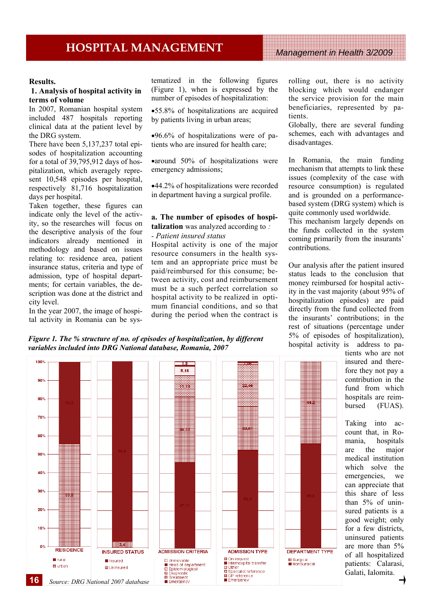#### **Results.**

### **1. Analysis of hospital activity in terms of volume**

In 2007, Romanian hospital system included 487 hospitals reporting clinical data at the patient level by the DRG system.

There have been 5,137,237 total episodes of hospitalization accounting for a total of 39,795,912 days of hospitalization, which averagely represent 10,548 episodes per hospital, respectively 81,716 hospitalization days per hospital.

Taken together, these figures can indicate only the level of the activity, so the researches will focus on the descriptive analysis of the four indicators already mentioned in methodology and based on issues relating to: residence area, patient insurance status, criteria and type of admission, type of hospital departments; for certain variables, the description was done at the district and city level.

In the year 2007, the image of hospital activity in Romania can be systematized in the following figures (Figure 1), when is expressed by the number of episodes of hospitalization:

•55.8% of hospitalizations are acquired by patients living in urban areas;

•96.6% of hospitalizations were of patients who are insured for health care;

•around 50% of hospitalizations were emergency admissions;

•44.2% of hospitalizations were recorded in department having a surgical profile.

#### **a. The number of episodes of hospitalization** was analyzed according to *: - Patient insured status*

Hospital activity is one of the major resource consumers in the health system and an appropriate price must be paid/reimbursed for this consume; between activity, cost and reimbursement must be a such perfect correlation so hospital activity to be realized in optimum financial conditions, and so that during the period when the contract is

rolling out, there is no activity blocking which would endanger the service provision for the main beneficiaries, represented by patients.

Globally, there are several funding schemes, each with advantages and disadvantages.

In Romania, the main funding mechanism that attempts to link these issues (complexity of the case with resource consumption) is regulated and is grounded on a performancebased system (DRG system) which is quite commonly used worldwide.

This mechanism largely depends on the funds collected in the system coming primarily from the insurants' contributions.

Our analysis after the patient insured status leads to the conclusion that money reimbursed for hospital activity in the vast majority (about 95% of hospitalization episodes) are paid directly from the fund collected from the insurants' contributions; in the rest of situations (percentage under 5% of episodes of hospitalization), hospital activity is address to pa-

tients who are not insured and therefore they not pay a contribution in the fund from which hospitals are reimbursed (FUAS).

Taking into account that, in Romania, hospitals are the major medical institution which solve the emergencies, we can appreciate that this share of less than 5% of uninsured patients is a good weight; only for a few districts, uninsured patients are more than 5% of all hospitalized patients: Calarasi, Galati, Ialomita.

*Figure 1. The % structure of no. of episodes of hospitalization, by different variables included into DRG National database, Romania, 2007* 

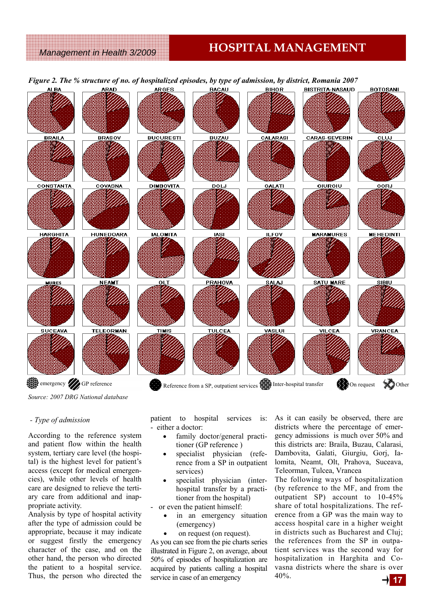### *Management in Health 3/2009*

# **HOSPITAL MANAGEMENT**



*Source: 2007 DRG National database* 

#### *- Type of admission*

According to the reference system and patient flow within the health system, tertiary care level (the hospital) is the highest level for patient's access (except for medical emergencies), while other levels of health care are designed to relieve the tertiary care from additional and inappropriate activity.

Analysis by type of hospital activity after the type of admission could be appropriate, because it may indicate or suggest firstly the emergency character of the case, and on the other hand, the person who directed the patient to a hospital service. Thus, the person who directed the

patient to hospital services is: - either a doctor:

- family doctor/general practitioner (GP reference )
- specialist physician (reference from a SP in outpatient services)
- specialist physician (interhospital transfer by a practitioner from the hospital)
- or even the patient himself:
	- in an emergency situation (emergency)
	- on request (on request).

As you can see from the pie charts series illustrated in Figure 2, on average, about 50% of episodes of hospitalization are acquired by patients calling a hospital service in case of an emergency

As it can easily be observed, there are districts where the percentage of emergency admissions is much over 50% and this districts are: Braila, Buzau, Calarasi, Dambovita, Galati, Giurgiu, Gorj, Ialomita, Neamt, Olt, Prahova, Suceava, Teleorman, Tulcea, Vrancea

The following ways of hospitalization (by reference to the MF, and from the outpatient SP) account to 10-45% share of total hospitalizations. The reference from a GP was the main way to access hospital care in a higher weight in districts such as Bucharest and Cluj; the references from the SP in outpatient services was the second way for hospitalization in Harghita and Covasna districts where the share is over 40%.

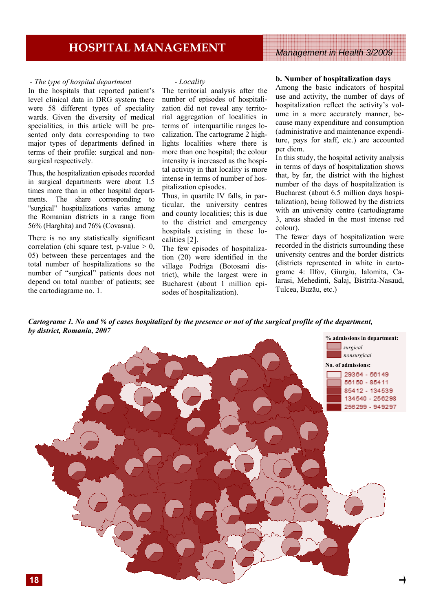#### *- The type of hospital department*

In the hospitals that reported patient's level clinical data in DRG system there were 58 different types of speciality wards. Given the diversity of medical specialities, in this article will be presented only data corresponding to two major types of departments defined in terms of their profile: surgical and nonsurgical respectively.

Thus, the hospitalization episodes recorded in surgical departments were about 1.5 times more than in other hospital departments. The share corresponding to "surgical" hospitalizations varies among the Romanian districts in a range from 56% (Harghita) and 76% (Covasna).

There is no any statistically significant correlation (chi square test, p-value  $> 0$ , 05) between these percentages and the total number of hospitalizations so the number of "surgical" patients does not depend on total number of patients; see the cartodiagrame no. 1.

#### - *Locality*

The territorial analysis after the number of episodes of hospitalization did not reveal any territorial aggregation of localities in terms of interquartilic ranges localization. The cartograme 2 highlights localities where there is more than one hospital; the colour intensity is increased as the hospital activity in that locality is more intense in terms of number of hospitalization episodes.

Thus, in quartile IV falls, in particular, the university centres and county localities; this is due to the district and emergency hospitals existing in these localities [2].

The few episodes of hospitalization (20) were identified in the village Podriga (Botosani district), while the largest were in Bucharest (about 1 million episodes of hospitalization).

#### **b. Number of hospitalization days**

Among the basic indicators of hospital use and activity, the number of days of hospitalization reflect the activity's volume in a more accurately manner, because many expenditure and consumption (administrative and maintenance expenditure, pays for staff, etc.) are accounted per diem.

In this study, the hospital activity analysis in terms of days of hospitalization shows that, by far, the district with the highest number of the days of hospitalization is Bucharest (about 6.5 million days hospitalization), being followed by the districts with an university centre (cartodiagrame 3, areas shaded in the most intense red colour).

The fewer days of hospitalization were recorded in the districts surrounding these university centres and the border districts (districts represented in white in cartograme 4: Ilfov, Giurgiu, Ialomita, Calarasi, Mehedinti, Salaj, Bistrita-Nasaud, Tulcea, Buzău, etc.)

*Cartograme 1. No and % of cases hospitalized by the presence or not of the surgical profile of the department, by district, Romania, 2007* 

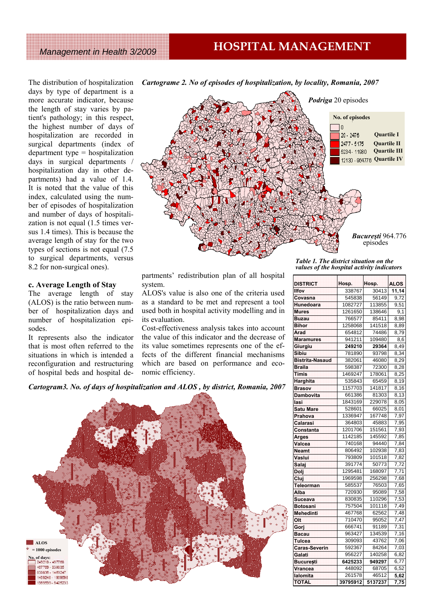# **HOSPITAL MANAGEMENT**

*Management in Health 3/2009*

The distribution of hospitalization days by type of department is a more accurate indicator, because the length of stay varies by patient's pathology; in this respect, the highest number of days of hospitalization are recorded in surgical departments (index of department type = hospitalization days in surgical departments / hospitalization day in other departments) had a value of 1.4. It is noted that the value of this index, calculated using the number of episodes of hospitalization and number of days of hospitalization is not equal (1.5 times versus 1.4 times). This is because the average length of stay for the two types of sections is not equal (7.5 to surgical departments, versus 8.2 for non-surgical ones).

#### **c. Average Length of Stay**

The average length of stay (ALOS) is the ratio between number of hospitalization days and number of hospitalization episodes.

It represents also the indicator that is most often referred to the situations in which is intended a reconfiguration and restructuring of hospital beds and hospital de-



*Cartograme 2. No of episodes of hospitalization, by locality, Romania, 2007* 

partments' redistribution plan of all hospital system.

ALOS's value is also one of the criteria used as a standard to be met and represent a tool used both in hospital activity modelling and in its evaluation.

Cost-effectiveness analysis takes into account the value of this indicator and the decrease of its value sometimes represents one of the effects of the different financial mechanisms which are based on performance and economic efficiency.

*Cartogram3. No. of days of hospitalization and ALOS , by district, Romania, 2007* 



*Table 1. The district situation on the values of the hospital activity indicators* 

| <b>DISTRICT</b>        | Hosp.    | Hosp.   | <b>ALOS</b> |
|------------------------|----------|---------|-------------|
| <b>Ilfov</b>           | 338767   | 30413   | 11,14       |
| Covasna                | 545838   | 56149   | 9,72        |
| Hunedoara              | 1082727  | 113855  | 9,51        |
| <b>Mures</b>           | 1261650  | 138646  | 9,1         |
| <b>Buzau</b>           | 766577   | 85411   | 8,98        |
| <b>Bihor</b>           | 1258068  | 141518  | 8,89        |
| Arad                   | 654812   | 74486   | 8,79        |
| <b>Maramures</b>       | 941211   | 109480  | 8,6         |
| Giurgiu                | 249210   | 29364   | 8,49        |
| Sibiu                  | 781890   | 93798   | 8,34        |
| <b>Bistrita-Nasaud</b> | 382061   | 46080   | 8,29        |
| <b>Braila</b>          | 598387   | 72300   | 8,28        |
| Timis                  | 1469247  | 178061  | 8,25        |
| Harghita               | 535843   | 65459   | 8,19        |
| <b>Brasov</b>          | 1157703  | 141817  | 8,16        |
| <b>Dambovita</b>       | 661386   | 81303   | 8,13        |
| lasi                   | 1843169  | 229078  | 8,05        |
| <b>Satu Mare</b>       | 528601   | 66025   | 8,01        |
| Prahova                | 1336947  | 167748  | 7,97        |
| Calarasi               | 364803   | 45883   | 7,95        |
| Constanta              | 1201706  | 151561  | 7,93        |
| Arges                  | 1142185  | 145592  | 7,85        |
| Valcea                 | 740168   | 94440   | 7,84        |
| <b>Neamt</b>           | 806492   | 102938  | 7,83        |
| Vaslui                 | 793809   | 101518  | 7,82        |
| Salaj                  | 391774   | 50773   | 7,72        |
| Doli                   | 1295481  | 168097  | 7,71        |
| Cluj                   | 1969598  | 256298  | 7,68        |
| Teleorman              | 585537   | 76503   | 7,65        |
| Alba                   | 720930   | 95089   | 7,58        |
| Suceava                | 830835   | 110296  | 7,53        |
| <b>Botosani</b>        | 757504   | 101118  | 7,49        |
| <b>Mehedinti</b>       | 467768   | 62562   | 7,48        |
| Olt                    | 710470   | 95052   | 7,47        |
| Gorj                   | 666741   | 91189   | 7,31        |
| <b>Bacau</b>           | 963427   | 134539  | 7,16        |
| <b>Tulcea</b>          | 309093   | 43762   | 7,06        |
| <b>Caras-Severin</b>   | 592367   | 84264   | 7,03        |
| Galati                 | 956227   | 140258  | 6,82        |
| <b>București</b>       | 6425233  | 949297  | 6,77        |
| Vrancea                | 448092   | 68705   | 6,52        |
| lalomita               | 261578   | 46512   | 5,62        |
| TOTAL                  | 39795912 | 5137237 | 7,75        |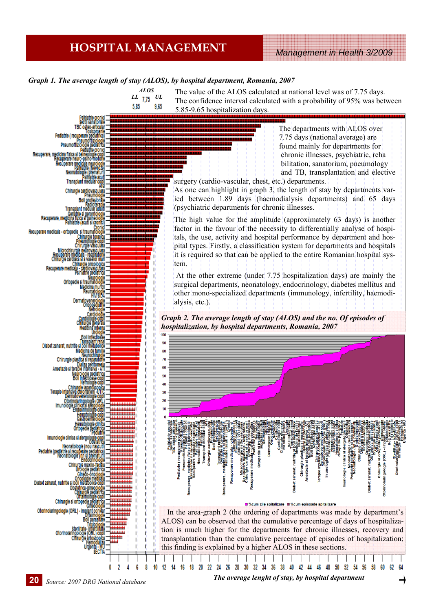# *Management in Health 3/2009* **HOSPITAL MANAGEMENT**

#### *Graph 1. The average length of stay (ALOS), by hospital department, Romania, 2007*